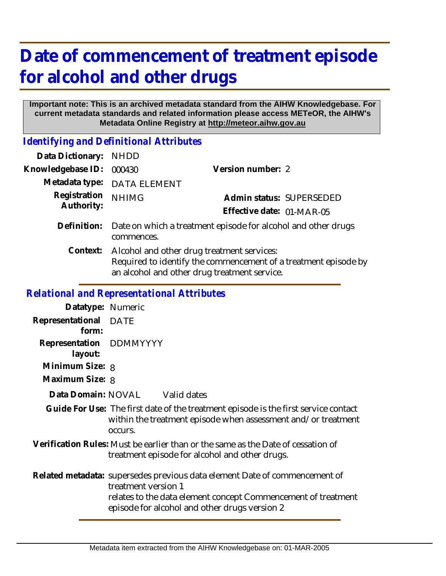## **Date of commencement of treatment episode for alcohol and other drugs**

## **Important note: This is an archived metadata standard from the AIHW Knowledgebase. For current metadata standards and related information please access METeOR, the AIHW's Metadata Online Registry at http://meteor.aihw.gov.au**

*Identifying and Definitional Attributes*

| Data Dictionary:                                  | <b>NHDD</b>                                                                                                                                                   |                                                                                                                                                      |  |  |
|---------------------------------------------------|---------------------------------------------------------------------------------------------------------------------------------------------------------------|------------------------------------------------------------------------------------------------------------------------------------------------------|--|--|
| Knowledgebase ID:                                 | 000430                                                                                                                                                        | Version number: 2                                                                                                                                    |  |  |
| Metadata type:                                    | <b>DATA ELEMENT</b>                                                                                                                                           |                                                                                                                                                      |  |  |
| Registration<br>Authority:                        | <b>NHIMG</b>                                                                                                                                                  | Admin status: SUPERSEDED<br>Effective date: 01-MAR-05                                                                                                |  |  |
| Definition:                                       | Date on which a treatment episode for alcohol and other drugs<br>commences.                                                                                   |                                                                                                                                                      |  |  |
| Context:                                          | Alcohol and other drug treatment services:<br>Required to identify the commencement of a treatment episode by<br>an alcohol and other drug treatment service. |                                                                                                                                                      |  |  |
| <b>Relational and Representational Attributes</b> |                                                                                                                                                               |                                                                                                                                                      |  |  |
| Datatype: Numeric                                 |                                                                                                                                                               |                                                                                                                                                      |  |  |
| Representational<br>form:                         | <b>DATE</b>                                                                                                                                                   |                                                                                                                                                      |  |  |
| Representation<br>layout:                         | <b>DDMMYYYY</b>                                                                                                                                               |                                                                                                                                                      |  |  |
| Minimum Size: 8                                   |                                                                                                                                                               |                                                                                                                                                      |  |  |
| Maximum Size: 8                                   |                                                                                                                                                               |                                                                                                                                                      |  |  |
| Data Domain: NOVAL Valid dates                    |                                                                                                                                                               |                                                                                                                                                      |  |  |
|                                                   | occurs.                                                                                                                                                       | Guide For Use: The first date of the treatment episode is the first service contact<br>within the treatment episode when assessment and/or treatment |  |  |
|                                                   |                                                                                                                                                               | Verification Rules: Must be earlier than or the same as the Date of cessation of<br>treatment episode for alcohol and other drugs.                   |  |  |

Related metadata: supersedes previous data element Date of commencement of treatment version 1 relates to the data element concept Commencement of treatment episode for alcohol and other drugs version 2